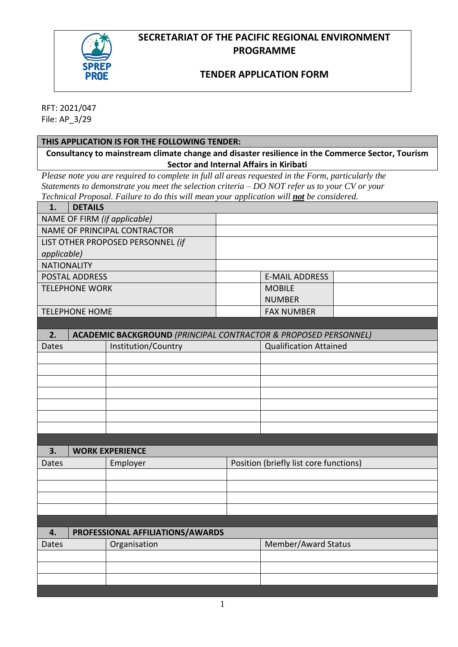## **SECRETARIAT OF THE PACIFIC REGIONAL ENVIRONMENT PROGRAMME**



## **TENDER APPLICATION FORM**

RFT: 2021/047 File: AP\_3/29

### **THIS APPLICATION IS FOR THE FOLLOWING TENDER:**

**Consultancy to mainstream climate change and disaster resilience in the Commerce Sector, Tourism Sector and Internal Affairs in Kiribati**

*Please note you are required to complete in full all areas requested in the Form, particularly the Statements to demonstrate you meet the selection criteria – DO NOT refer us to your CV or your Technical Proposal. Failure to do this will mean your application will not be considered.*

| 1.                                  | <b>DETAILS</b>      |                                                                            |  |                               |  |  |
|-------------------------------------|---------------------|----------------------------------------------------------------------------|--|-------------------------------|--|--|
| NAME OF FIRM (if applicable)        |                     |                                                                            |  |                               |  |  |
| <b>NAME OF PRINCIPAL CONTRACTOR</b> |                     |                                                                            |  |                               |  |  |
| LIST OTHER PROPOSED PERSONNEL (if   |                     |                                                                            |  |                               |  |  |
| applicable)                         |                     |                                                                            |  |                               |  |  |
| <b>NATIONALITY</b>                  |                     |                                                                            |  |                               |  |  |
| <b>POSTAL ADDRESS</b>               |                     |                                                                            |  | <b>E-MAIL ADDRESS</b>         |  |  |
| <b>TELEPHONE WORK</b>               |                     |                                                                            |  | <b>MOBILE</b>                 |  |  |
|                                     |                     |                                                                            |  | <b>NUMBER</b>                 |  |  |
| <b>TELEPHONE HOME</b>               |                     |                                                                            |  | <b>FAX NUMBER</b>             |  |  |
|                                     |                     |                                                                            |  |                               |  |  |
| 2.                                  |                     | <b>ACADEMIC BACKGROUND (PRINCIPAL CONTRACTOR &amp; PROPOSED PERSONNEL)</b> |  |                               |  |  |
| Dates                               | Institution/Country |                                                                            |  | <b>Qualification Attained</b> |  |  |
|                                     |                     |                                                                            |  |                               |  |  |
|                                     |                     |                                                                            |  |                               |  |  |
|                                     |                     |                                                                            |  |                               |  |  |
|                                     |                     |                                                                            |  |                               |  |  |
|                                     |                     |                                                                            |  |                               |  |  |
|                                     |                     |                                                                            |  |                               |  |  |
|                                     |                     |                                                                            |  |                               |  |  |
| 3.                                  |                     | <b>WORK EXPERIENCE</b>                                                     |  |                               |  |  |
| Dates                               |                     | Position (briefly list core functions)<br>Employer                         |  |                               |  |  |
|                                     |                     |                                                                            |  |                               |  |  |
|                                     |                     |                                                                            |  |                               |  |  |
|                                     |                     |                                                                            |  |                               |  |  |
|                                     |                     |                                                                            |  |                               |  |  |
|                                     |                     |                                                                            |  |                               |  |  |
| 4.                                  |                     | PROFESSIONAL AFFILIATIONS/AWARDS                                           |  |                               |  |  |
| Dates                               |                     | Organisation                                                               |  | Member/Award Status           |  |  |
|                                     |                     |                                                                            |  |                               |  |  |
|                                     |                     |                                                                            |  |                               |  |  |
|                                     |                     |                                                                            |  |                               |  |  |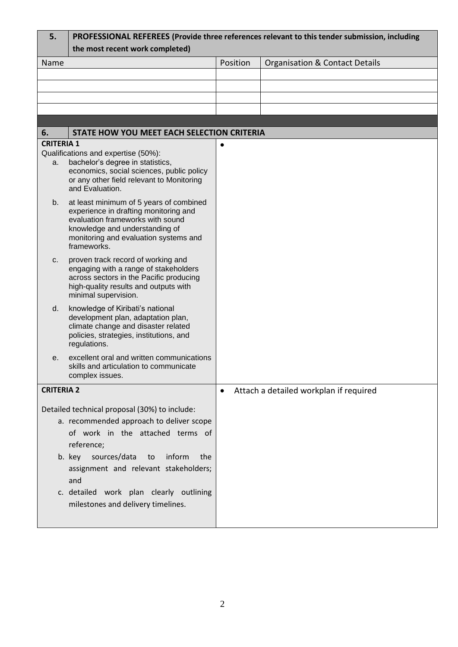| 5.                                                                    | PROFESSIONAL REFEREES (Provide three references relevant to this tender submission, including |           |                                           |  |  |  |  |  |  |
|-----------------------------------------------------------------------|-----------------------------------------------------------------------------------------------|-----------|-------------------------------------------|--|--|--|--|--|--|
|                                                                       | the most recent work completed)                                                               |           |                                           |  |  |  |  |  |  |
| Name                                                                  |                                                                                               | Position  | <b>Organisation &amp; Contact Details</b> |  |  |  |  |  |  |
|                                                                       |                                                                                               |           |                                           |  |  |  |  |  |  |
|                                                                       |                                                                                               |           |                                           |  |  |  |  |  |  |
|                                                                       |                                                                                               |           |                                           |  |  |  |  |  |  |
|                                                                       |                                                                                               |           |                                           |  |  |  |  |  |  |
|                                                                       |                                                                                               |           |                                           |  |  |  |  |  |  |
| STATE HOW YOU MEET EACH SELECTION CRITERIA<br>6.<br><b>CRITERIA 1</b> |                                                                                               |           |                                           |  |  |  |  |  |  |
|                                                                       | Qualifications and expertise (50%):                                                           | $\bullet$ |                                           |  |  |  |  |  |  |
| a.                                                                    | bachelor's degree in statistics,                                                              |           |                                           |  |  |  |  |  |  |
|                                                                       | economics, social sciences, public policy<br>or any other field relevant to Monitoring        |           |                                           |  |  |  |  |  |  |
|                                                                       | and Evaluation.                                                                               |           |                                           |  |  |  |  |  |  |
| b.                                                                    | at least minimum of 5 years of combined                                                       |           |                                           |  |  |  |  |  |  |
|                                                                       | experience in drafting monitoring and                                                         |           |                                           |  |  |  |  |  |  |
|                                                                       | evaluation frameworks with sound<br>knowledge and understanding of                            |           |                                           |  |  |  |  |  |  |
|                                                                       | monitoring and evaluation systems and                                                         |           |                                           |  |  |  |  |  |  |
|                                                                       | frameworks.                                                                                   |           |                                           |  |  |  |  |  |  |
| $C_{1}$                                                               | proven track record of working and                                                            |           |                                           |  |  |  |  |  |  |
|                                                                       | engaging with a range of stakeholders<br>across sectors in the Pacific producing              |           |                                           |  |  |  |  |  |  |
|                                                                       | high-quality results and outputs with                                                         |           |                                           |  |  |  |  |  |  |
|                                                                       | minimal supervision.                                                                          |           |                                           |  |  |  |  |  |  |
| d.                                                                    | knowledge of Kiribati's national                                                              |           |                                           |  |  |  |  |  |  |
|                                                                       | development plan, adaptation plan,<br>climate change and disaster related                     |           |                                           |  |  |  |  |  |  |
|                                                                       | policies, strategies, institutions, and                                                       |           |                                           |  |  |  |  |  |  |
|                                                                       | regulations.                                                                                  |           |                                           |  |  |  |  |  |  |
| е.                                                                    | excellent oral and written communications<br>skills and articulation to communicate           |           |                                           |  |  |  |  |  |  |
|                                                                       | complex issues.                                                                               |           |                                           |  |  |  |  |  |  |
| <b>CRITERIA 2</b>                                                     |                                                                                               | $\bullet$ | Attach a detailed workplan if required    |  |  |  |  |  |  |
|                                                                       |                                                                                               |           |                                           |  |  |  |  |  |  |
| Detailed technical proposal (30%) to include:                         |                                                                                               |           |                                           |  |  |  |  |  |  |
|                                                                       | a. recommended approach to deliver scope                                                      |           |                                           |  |  |  |  |  |  |
|                                                                       | of work in the attached terms of                                                              |           |                                           |  |  |  |  |  |  |
|                                                                       | reference;                                                                                    |           |                                           |  |  |  |  |  |  |
|                                                                       | b. key sources/data<br>inform<br>the<br>to                                                    |           |                                           |  |  |  |  |  |  |
|                                                                       | assignment and relevant stakeholders;                                                         |           |                                           |  |  |  |  |  |  |
|                                                                       | and                                                                                           |           |                                           |  |  |  |  |  |  |
|                                                                       | c. detailed work plan clearly outlining                                                       |           |                                           |  |  |  |  |  |  |
|                                                                       | milestones and delivery timelines.                                                            |           |                                           |  |  |  |  |  |  |
|                                                                       |                                                                                               |           |                                           |  |  |  |  |  |  |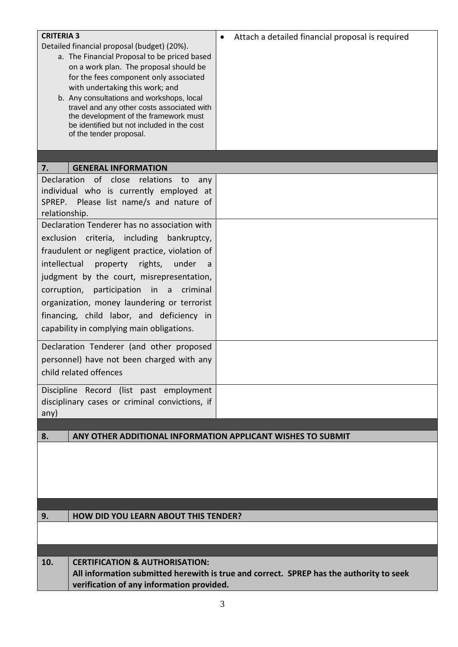| <b>CRITERIA 3</b>                                                                       | Attach a detailed financial proposal is required<br>$\bullet$ |  |  |  |
|-----------------------------------------------------------------------------------------|---------------------------------------------------------------|--|--|--|
| Detailed financial proposal (budget) (20%).                                             |                                                               |  |  |  |
| a. The Financial Proposal to be priced based                                            |                                                               |  |  |  |
| on a work plan. The proposal should be                                                  |                                                               |  |  |  |
| for the fees component only associated                                                  |                                                               |  |  |  |
| with undertaking this work; and                                                         |                                                               |  |  |  |
| b. Any consultations and workshops, local                                               |                                                               |  |  |  |
| travel and any other costs associated with<br>the development of the framework must     |                                                               |  |  |  |
| be identified but not included in the cost                                              |                                                               |  |  |  |
| of the tender proposal.                                                                 |                                                               |  |  |  |
|                                                                                         |                                                               |  |  |  |
|                                                                                         |                                                               |  |  |  |
| 7.<br><b>GENERAL INFORMATION</b>                                                        |                                                               |  |  |  |
| Declaration of close relations<br>to<br>any                                             |                                                               |  |  |  |
| individual who is currently employed at                                                 |                                                               |  |  |  |
| SPREP. Please list name/s and nature of                                                 |                                                               |  |  |  |
| relationship.                                                                           |                                                               |  |  |  |
| Declaration Tenderer has no association with                                            |                                                               |  |  |  |
| exclusion criteria, including<br>bankruptcy,                                            |                                                               |  |  |  |
| fraudulent or negligent practice, violation of                                          |                                                               |  |  |  |
| intellectual<br>property rights,<br>under<br>a -                                        |                                                               |  |  |  |
|                                                                                         |                                                               |  |  |  |
| judgment by the court, misrepresentation,                                               |                                                               |  |  |  |
| corruption, participation in a<br>criminal                                              |                                                               |  |  |  |
| organization, money laundering or terrorist                                             |                                                               |  |  |  |
| financing, child labor, and deficiency in                                               |                                                               |  |  |  |
| capability in complying main obligations.                                               |                                                               |  |  |  |
|                                                                                         |                                                               |  |  |  |
| Declaration Tenderer (and other proposed                                                |                                                               |  |  |  |
| personnel) have not been charged with any                                               |                                                               |  |  |  |
| child related offences                                                                  |                                                               |  |  |  |
|                                                                                         |                                                               |  |  |  |
| Discipline Record (list past employment                                                 |                                                               |  |  |  |
| disciplinary cases or criminal convictions, if                                          |                                                               |  |  |  |
| any)                                                                                    |                                                               |  |  |  |
| 8.<br>ANY OTHER ADDITIONAL INFORMATION APPLICANT WISHES TO SUBMIT                       |                                                               |  |  |  |
|                                                                                         |                                                               |  |  |  |
|                                                                                         |                                                               |  |  |  |
|                                                                                         |                                                               |  |  |  |
|                                                                                         |                                                               |  |  |  |
|                                                                                         |                                                               |  |  |  |
|                                                                                         |                                                               |  |  |  |
| <b>HOW DID YOU LEARN ABOUT THIS TENDER?</b><br>9.                                       |                                                               |  |  |  |
|                                                                                         |                                                               |  |  |  |
|                                                                                         |                                                               |  |  |  |
|                                                                                         |                                                               |  |  |  |
| 10.<br><b>CERTIFICATION &amp; AUTHORISATION:</b>                                        |                                                               |  |  |  |
| All information submitted herewith is true and correct. SPREP has the authority to seek |                                                               |  |  |  |
| verification of any information provided.                                               |                                                               |  |  |  |
|                                                                                         |                                                               |  |  |  |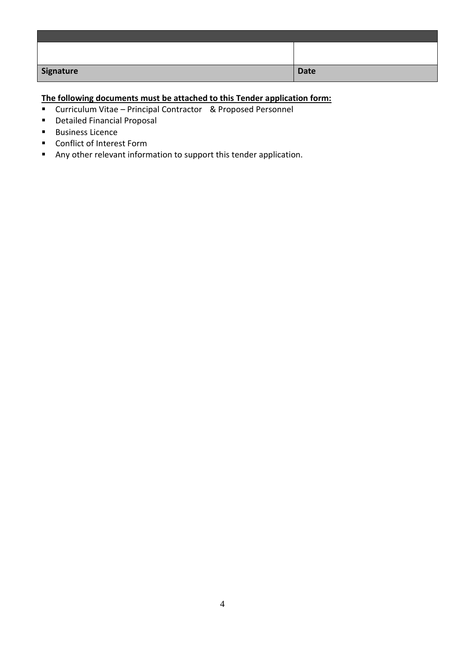| Signature | Date |
|-----------|------|

# **The following documents must be attached to this Tender application form:**

- Curriculum Vitae Principal Contractor & Proposed Personnel
- Detailed Financial Proposal
- Business Licence
- Conflict of Interest Form
- Any other relevant information to support this tender application.